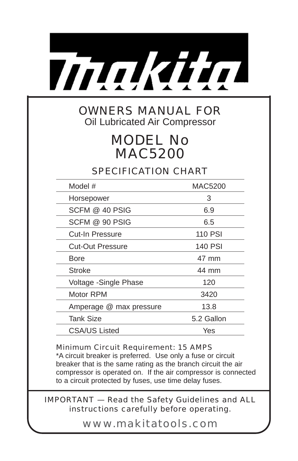

## OWNERS MANUAL FOR Oil Lubricated Air Compressor

# MODEL No MAC5200

SPECIFICATION CHART

| Model #                 | MAC5200        |
|-------------------------|----------------|
| Horsepower              | 3              |
| SCFM @ 40 PSIG          | 6.9            |
| SCFM @ 90 PSIG          | 6.5            |
| Cut-In Pressure         | <b>110 PSI</b> |
| <b>Cut-Out Pressure</b> | 140 PSI        |
| Bore                    | 47 mm          |
| Stroke                  | 44 mm          |
| Voltage - Single Phase  | 120            |
| Motor RPM               | 3420           |
| Amperage @ max pressure | 13.8           |
| <b>Tank Size</b>        | 5.2 Gallon     |
| CSA/US Listed           | Yes            |

## Minimum Circuit Requirement: 15 AMPS

\*A circuit breaker is preferred. Use only a fuse or circuit breaker that is the same rating as the branch circuit the air compressor is operated on. If the air compressor is connected to a circuit protected by fuses, use time delay fuses.

## IMPORTANT — Read the Safety Guidelines and ALL instructions carefully before operating.

www.makitatools.com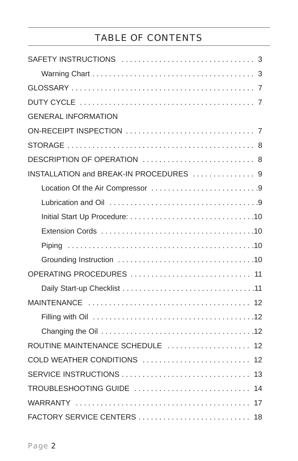# TABLE OF CONTENTS

| <b>GENERAL INFORMATION</b>              |
|-----------------------------------------|
|                                         |
|                                         |
| DESCRIPTION OF OPERATION  8             |
| INSTALLATION and BREAK-IN PROCEDURES  9 |
|                                         |
|                                         |
|                                         |
|                                         |
|                                         |
|                                         |
| OPERATING PROCEDURES  11                |
|                                         |
|                                         |
|                                         |
|                                         |
| ROUTINE MAINTENANCE SCHEDULE  12        |
| COLD WEATHER CONDITIONS  12             |
|                                         |
| TROUBLESHOOTING GUIDE  14               |
|                                         |
| FACTORY SERVICE CENTERS<br>18           |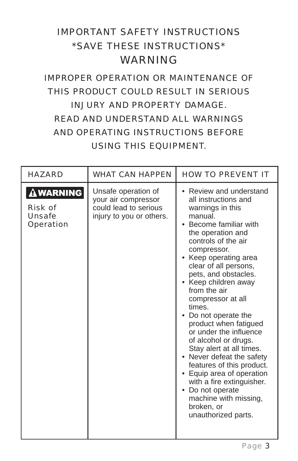# IMPORTANT SAFETY INSTRUCTIONS \*SAVE THESE INSTRUCTIONS\* WARNING

# IMPROPER OPERATION OR MAINTENANCE OF THIS PRODUCT COULD RESULT IN SERIOUS INJURY AND PROPERTY DAMAGE. READ AND UNDERSTAND ALL WARNINGS AND OPERATING INSTRUCTIONS BEFORE USING THIS EQUIPMENT.

| <b>HAZARD</b>                                                                    | <b>WHAT CAN HAPPEN</b>                                                                          | <b>HOW TO PREVENT IT</b>                                                                                                                                                                                                                                                                                                                                                                                                                                                                                                                                                                                                                                  |
|----------------------------------------------------------------------------------|-------------------------------------------------------------------------------------------------|-----------------------------------------------------------------------------------------------------------------------------------------------------------------------------------------------------------------------------------------------------------------------------------------------------------------------------------------------------------------------------------------------------------------------------------------------------------------------------------------------------------------------------------------------------------------------------------------------------------------------------------------------------------|
| $\mathbf{\Delta}$ WARNING<br><b>Risk of</b><br><b>Unsafe</b><br><b>Operation</b> | Unsafe operation of<br>your air compressor<br>could lead to serious<br>injury to you or others. | • Review and understand<br>all instructions and<br>warnings in this<br>manual.<br>• Become familiar with<br>the operation and<br>controls of the air<br>compressor.<br>• Keep operating area<br>clear of all persons,<br>pets, and obstacles.<br>• Keep children away<br>from the air<br>compressor at all<br>times.<br>• Do not operate the<br>product when fatigued<br>or under the influence<br>of alcohol or drugs.<br>Stay alert at all times.<br>• Never defeat the safety<br>features of this product.<br>• Equip area of operation<br>with a fire extinguisher.<br>• Do not operate<br>machine with missing,<br>broken, or<br>unauthorized parts. |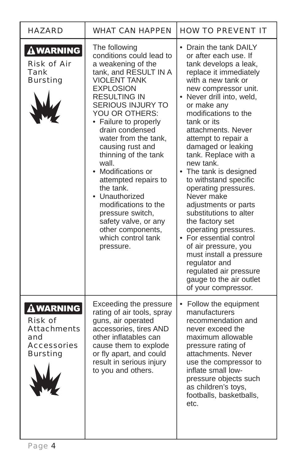| <b>HAZARD</b>                                                                                           | <b>WHAT CAN HAPPEN</b>                                                                                                                                                                                                                                                                                                                                                                                                                                                                                                                     | <b>HOW TO PREVENT IT</b>                                                                                                                                                                                                                                                                                                                                                                                                                                                                                                                                                                                                                                                                                                |
|---------------------------------------------------------------------------------------------------------|--------------------------------------------------------------------------------------------------------------------------------------------------------------------------------------------------------------------------------------------------------------------------------------------------------------------------------------------------------------------------------------------------------------------------------------------------------------------------------------------------------------------------------------------|-------------------------------------------------------------------------------------------------------------------------------------------------------------------------------------------------------------------------------------------------------------------------------------------------------------------------------------------------------------------------------------------------------------------------------------------------------------------------------------------------------------------------------------------------------------------------------------------------------------------------------------------------------------------------------------------------------------------------|
| <b>AWARNING</b><br><b>Risk of Air</b><br>Tank<br><b>Bursting</b>                                        | The following<br>conditions could lead to<br>a weakening of the<br>tank, and RESULT IN A<br><b>VIOLENT TANK</b><br><b>EXPLOSION</b><br><b>RESULTING IN</b><br><b>SERIOUS INJURY TO</b><br>YOU OR OTHERS:<br>• Failure to properly<br>drain condensed<br>water from the tank,<br>causing rust and<br>thinning of the tank<br>wall.<br>• Modifications or<br>attempted repairs to<br>the tank.<br>• Unauthorized<br>modifications to the<br>pressure switch,<br>safety valve, or any<br>other components,<br>which control tank<br>pressure. | • Drain the tank DAILY<br>or after each use. If<br>tank develops a leak,<br>replace it immediately<br>with a new tank or<br>new compressor unit.<br>• Never drill into, weld,<br>or make any<br>modifications to the<br>tank or its<br>attachments. Never<br>attempt to repair a<br>damaged or leaking<br>tank. Replace with a<br>new tank.<br>The tank is designed<br>$\bullet$<br>to withstand specific<br>operating pressures.<br>Never make<br>adjustments or parts<br>substitutions to alter<br>the factory set<br>operating pressures.<br>• For essential control<br>of air pressure, you<br>must install a pressure<br>regulator and<br>regulated air pressure<br>gauge to the air outlet<br>of your compressor. |
| <b>AWARNING</b><br><b>Risk of</b><br><b>Attachments</b><br>and<br><b>Accessories</b><br><b>Bursting</b> | Exceeding the pressure<br>rating of air tools, spray<br>guns, air operated<br>accessories, tires AND<br>other inflatables can<br>cause them to explode<br>or fly apart, and could<br>result in serious injury<br>to you and others.                                                                                                                                                                                                                                                                                                        | Follow the equipment<br>manufacturers<br>recommendation and<br>never exceed the<br>maximum allowable<br>pressure rating of<br>attachments, Never<br>use the compressor to<br>inflate small low-<br>pressure objects such<br>as children's toys,<br>footballs, basketballs,<br>etc.                                                                                                                                                                                                                                                                                                                                                                                                                                      |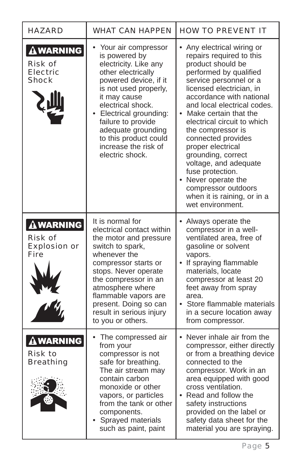| <b>HAZARD</b>                                                                           | <b>WHAT CAN HAPPEN</b>                                                                                                                                                                                                                                                                                                | <b>HOW TO PREVENT IT</b>                                                                                                                                                                                                                                                                                                                                                                                                                                                                                             |
|-----------------------------------------------------------------------------------------|-----------------------------------------------------------------------------------------------------------------------------------------------------------------------------------------------------------------------------------------------------------------------------------------------------------------------|----------------------------------------------------------------------------------------------------------------------------------------------------------------------------------------------------------------------------------------------------------------------------------------------------------------------------------------------------------------------------------------------------------------------------------------------------------------------------------------------------------------------|
| <b>AWARNING</b><br><b>Risk of</b><br><b>Electric</b><br><b>Shock</b>                    | Your air compressor<br>is powered by<br>electricity. Like any<br>other electrically<br>powered device, if it<br>is not used properly,<br>it may cause<br>electrical shock.<br>• Electrical grounding:<br>failure to provide<br>adequate grounding<br>to this product could<br>increase the risk of<br>electric shock. | • Any electrical wiring or<br>repairs required to this<br>product should be<br>performed by qualified<br>service personnel or a<br>licensed electrician, in<br>accordance with national<br>and local electrical codes.<br>• Make certain that the<br>electrical circuit to which<br>the compressor is<br>connected provides<br>proper electrical<br>grounding, correct<br>voltage, and adequate<br>fuse protection.<br>• Never operate the<br>compressor outdoors<br>when it is raining, or in a<br>wet environment. |
| $\hat{\mathbf{\Delta}}$ WARNING<br><b>Risk of</b><br><b>Explosion or</b><br><b>Fire</b> | It is normal for<br>electrical contact within<br>the motor and pressure<br>switch to spark,<br>whenever the<br>compressor starts or<br>stops. Never operate<br>the compressor in an<br>atmosphere where<br>flammable vapors are<br>present. Doing so can<br>result in serious injury<br>to you or others.             | • Always operate the<br>compressor in a well-<br>ventilated area, free of<br>gasoline or solvent<br>vapors.<br>• If spraying flammable<br>materials, locate<br>compressor at least 20<br>feet away from spray<br>area.<br>• Store flammable materials<br>in a secure location away<br>from compressor.                                                                                                                                                                                                               |
| ${\bf\Delta}$ WARNING<br><b>Risk to</b><br><b>Breathing</b>                             | The compressed air<br>٠<br>from your<br>compressor is not<br>safe for breathing.<br>The air stream may<br>contain carbon<br>monoxide or other<br>vapors, or particles<br>from the tank or other<br>components.<br>Sprayed materials<br>such as paint, paint                                                           | • Never inhale air from the<br>compressor, either directly<br>or from a breathing device<br>connected to the<br>compressor. Work in an<br>area equipped with good<br>cross ventilation.<br>• Read and follow the<br>safety instructions<br>provided on the label or<br>safety data sheet for the<br>material you are spraying.                                                                                                                                                                                       |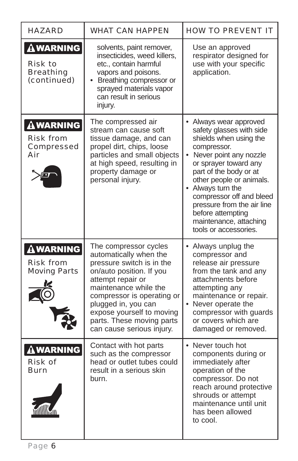| <b>HAZARD</b>                                                         | <b>WHAT CAN HAPPEN</b>                                                                                                                                                                                                                                                                             | <b>HOW TO PREVENT IT</b>                                                                                                                                                                                                                                                                                                                                               |  |
|-----------------------------------------------------------------------|----------------------------------------------------------------------------------------------------------------------------------------------------------------------------------------------------------------------------------------------------------------------------------------------------|------------------------------------------------------------------------------------------------------------------------------------------------------------------------------------------------------------------------------------------------------------------------------------------------------------------------------------------------------------------------|--|
| <b>AWARNING</b><br><b>Risk to</b><br><b>Breathing</b><br>(continued)  | solvents, paint remover,<br>insecticides, weed killers,<br>etc., contain harmful<br>vapors and poisons.<br>• Breathing compressor or<br>sprayed materials vapor<br>can result in serious<br>injury.                                                                                                | Use an approved<br>respirator designed for<br>use with your specific<br>application.                                                                                                                                                                                                                                                                                   |  |
| $\Delta$ WARNING<br><b>Risk from</b><br><b>Compressed</b><br>Air      | The compressed air<br>stream can cause soft<br>tissue damage, and can<br>propel dirt, chips, loose<br>particles and small objects<br>at high speed, resulting in<br>property damage or<br>personal injury.                                                                                         | Always wear approved<br>safety glasses with side<br>shields when using the<br>compressor.<br>Never point any nozzle<br>$\bullet$<br>or sprayer toward any<br>part of the body or at<br>other people or animals.<br>• Always turn the<br>compressor off and bleed<br>pressure from the air line<br>before attempting<br>maintenance, attaching<br>tools or accessories. |  |
| ${\bf \Delta}$ warning $ $<br><b>Risk from</b><br><b>Moving Parts</b> | The compressor cycles<br>automatically when the<br>pressure switch is in the<br>on/auto position. If you<br>attempt repair or<br>maintenance while the<br>compressor is operating or<br>plugged in, you can<br>expose yourself to moving<br>parts. These moving parts<br>can cause serious injury. | • Always unplug the<br>compressor and<br>release air pressure<br>from the tank and any<br>attachments before<br>attempting any<br>maintenance or repair.<br>• Never operate the<br>compressor with guards<br>or covers which are<br>damaged or removed.                                                                                                                |  |
| WARNING<br><b>RISK OT</b><br><b>Burn</b>                              | Contact with hot parts<br>such as the compressor<br>head or outlet tubes could<br>result in a serious skin<br>burn.                                                                                                                                                                                | • Never touch hot<br>components during or<br>immediately after<br>operation of the<br>compressor. Do not<br>reach around protective<br>shrouds or attempt<br>maintenance until unit<br>has been allowed<br>to cool.                                                                                                                                                    |  |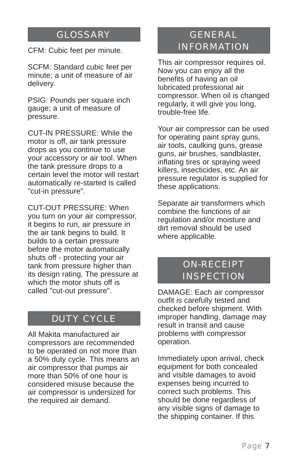## GLOSSARY

CFM: Cubic feet per minute.

SCFM: Standard cubic feet per minute; a unit of measure of air delivery.

PSIG: Pounds per square inch gauge; a unit of measure of pressure.

CUT-IN PRESSURE: While the motor is off, air tank pressure drops as you continue to use your accessory or air tool. When the tank pressure drops to a certain level the motor will restart automatically re-started is called "cut-in pressure".

CUT-OUT PRESSURE: When you turn on your air compressor, it begins to run, air pressure in the air tank begins to build. It builds to a certain pressure before the motor automatically shuts off - protecting your air tank from pressure higher than its design rating. The pressure at which the motor shuts off is called "cut-out pressure".

## DUTY CYCLE

All Makita manufactured air compressors are recommended to be operated on not more than a 50% duty cycle. This means an air compressor that pumps air more than 50% of one hour is considered misuse because the air compressor is undersized for the required air demand.

# GENERAL INFORMATION

This air compressor requires oil. Now you can enjoy all the benefits of having an oil lubricated professional air compressor. When oil is changed regularly, it will give you long, trouble-free life.

Your air compressor can be used for operating paint spray guns, air tools, caulking guns, grease guns, air brushes, sandblaster, inflating tires or spraying weed killers, insecticides, etc. An air pressure regulator is supplied for these applications.

Separate air transformers which combine the functions of air regulation and/or moisture and dirt removal should be used where applicable.

# ON-RECEIPT **INSPECTION**

DAMAGE: Each air compressor outfit is carefully tested and checked before shipment. With improper handling, damage may result in transit and cause problems with compressor operation.

Immediately upon arrival, check equipment for both concealed and visible damages to avoid expenses being incurred to correct such problems. This should be done regardless of any visible signs of damage to the shipping container. If this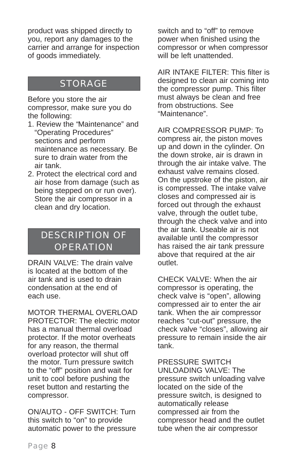product was shipped directly to you, report any damages to the carrier and arrange for inspection of goods immediately.

# STORAGE

Before you store the air compressor, make sure you do the following:

- 1. Review the "Maintenance" and "Operating Procedures" sections and perform maintenance as necessary. Be sure to drain water from the air tank.
- 2. Protect the electrical cord and air hose from damage (such as being stepped on or run over). Store the air compressor in a clean and dry location.

# DESCRIPTION OF **OPERATION**

DRAIN VALVE: The drain valve is located at the bottom of the air tank and is used to drain condensation at the end of each use.

MOTOR THERMAL OVERLOAD PROTECTOR: The electric motor has a manual thermal overload protector. If the motor overheats for any reason, the thermal overload protector will shut off the motor. Turn pressure switch to the "off" position and wait for unit to cool before pushing the reset button and restarting the compressor.

ON/AUTO - OFF SWITCH: Turn this switch to "on" to provide automatic power to the pressure switch and to "off" to remove power when finished using the compressor or when compressor will be left unattended.

AIR INTAKE FILTER: This filter is designed to clean air coming into the compressor pump. This filter must always be clean and free from obstructions. See "Maintenance".

AIR COMPRESSOR PUMP: To compress air, the piston moves up and down in the cylinder. On the down stroke, air is drawn in through the air intake valve. The exhaust valve remains closed. On the upstroke of the piston, air is compressed. The intake valve closes and compressed air is forced out through the exhaust valve, through the outlet tube, through the check valve and into the air tank. Useable air is not available until the compressor has raised the air tank pressure above that required at the air outlet.

CHECK VALVE: When the air compressor is operating, the check valve is "open", allowing compressed air to enter the air tank. When the air compressor reaches "cut-out" pressure, the check valve "closes", allowing air pressure to remain inside the air tank.

PRESSURE SWITCH UNLOADING VALVE: The pressure switch unloading valve located on the side of the pressure switch, is designed to automatically release compressed air from the compressor head and the outlet tube when the air compressor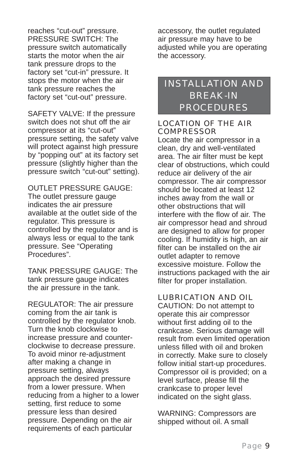reaches "cut-out" pressure. PRESSURE SWITCH: The pressure switch automatically starts the motor when the air tank pressure drops to the factory set "cut-in" pressure. It stops the motor when the air tank pressure reaches the factory set "cut-out" pressure.

SAFETY VALVE: If the pressure switch does not shut off the air compressor at its "cut-out" pressure setting, the safety valve will protect against high pressure by "popping out" at its factory set pressure (slightly higher than the pressure switch "cut-out" setting).

OUTLET PRESSURE GAUGE: The outlet pressure gauge indicates the air pressure available at the outlet side of the regulator. This pressure is controlled by the regulator and is always less or equal to the tank pressure. See "Operating Procedures".

TANK PRESSURE GAUGE: The tank pressure gauge indicates the air pressure in the tank.

REGULATOR: The air pressure coming from the air tank is controlled by the regulator knob. Turn the knob clockwise to increase pressure and counterclockwise to decrease pressure. To avoid minor re-adjustment after making a change in pressure setting, always approach the desired pressure from a lower pressure. When reducing from a higher to a lower setting, first reduce to some pressure less than desired pressure. Depending on the air requirements of each particular

accessory, the outlet regulated air pressure may have to be adjusted while you are operating the accessory.

# INSTALLATION AND BREAK-IN PROCEDURES

## LOCATION OF THE AIR **COMPRESSOR**

Locate the air compressor in a clean, dry and well-ventilated area. The air filter must be kept clear of obstructions, which could reduce air delivery of the air compressor. The air compressor should be located at least 12 inches away from the wall or other obstructions that will interfere with the flow of air. The air compressor head and shroud are designed to allow for proper cooling. If humidity is high, an air filter can be installed on the air outlet adapter to remove excessive moisture. Follow the instructions packaged with the air filter for proper installation.

## LUBRICATION AND OIL

CAUTION: Do not attempt to operate this air compressor without first adding oil to the crankcase. Serious damage will result from even limited operation unless filled with oil and broken in correctly. Make sure to closely follow initial start-up procedures. Compressor oil is provided; on a level surface, please fill the crankcase to proper level indicated on the sight glass.

WARNING: Compressors are shipped without oil. A small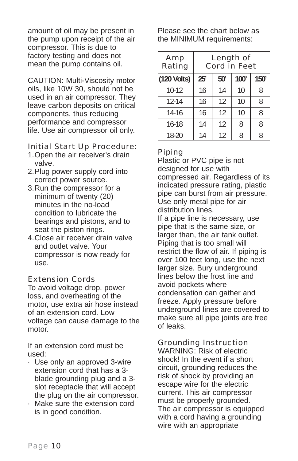amount of oil may be present in the pump upon receipt of the air compressor. This is due to factory testing and does not mean the pump contains oil.

CAUTION: Multi-Viscosity motor oils, like 10W 30, should not be used in an air compressor. They leave carbon deposits on critical components, thus reducing performance and compressor life. Use air compressor oil only.

## Initial Start Up Procedure:

- 1.Open the air receiver's drain valve.
- 2.Plug power supply cord into correct power source.
- 3.Run the compressor for a minimum of twenty (20) minutes in the no-load condition to lubricate the bearings and pistons, and to seat the piston rings.
- 4.Close air receiver drain valve and outlet valve. Your compressor is now ready for use.

## Extension Cords

To avoid voltage drop, power loss, and overheating of the motor, use extra air hose instead of an extension cord. Low voltage can cause damage to the motor.

If an extension cord must be used:

- · Use only an approved 3-wire extension cord that has a 3 blade grounding plug and a 3 slot receptacle that will accept the plug on the air compressor.
- · Make sure the extension cord is in good condition.

Please see the chart below as the MINIMUM requirements:

| Amp<br>Rating | <b>Length of</b><br><b>Cord in Feet</b> |     |      |      |
|---------------|-----------------------------------------|-----|------|------|
| (120 Volts)   | 25'                                     | 50' | 100' | 150' |
| $10-12$       | 16                                      | 14  | 10   | 8    |
| $12 - 14$     | 16                                      | 12  | 10   | 8    |
| $14-16$       | 16                                      | 12  | 10   | 8    |
| $16-18$       | 14                                      | 12  | 8    | 8    |
| 18-20         | 14                                      | 12  | 8    | 8    |

## Piping

Plastic or PVC pipe is not designed for use with compressed air. Regardless of its indicated pressure rating, plastic pipe can burst from air pressure. Use only metal pipe for air distribution lines.

If a pipe line is necessary, use pipe that is the same size, or larger than, the air tank outlet. Piping that is too small will restrict the flow of air. If piping is over 100 feet long, use the next larger size. Bury underground lines below the frost line and avoid pockets where condensation can gather and freeze. Apply pressure before underground lines are covered to make sure all pipe joints are free of leaks.

## Grounding Instruction

WARNING: Risk of electric shock! In the event if a short circuit, grounding reduces the risk of shock by providing an escape wire for the electric current. This air compressor must be properly grounded. The air compressor is equipped with a cord having a grounding wire with an appropriate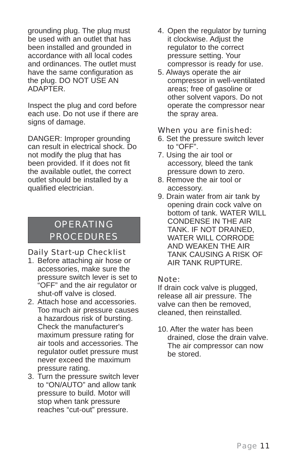grounding plug. The plug must be used with an outlet that has been installed and grounded in accordance with all local codes and ordinances. The outlet must have the same configuration as the plug. DO NOT USE AN ADAPTER.

Inspect the plug and cord before each use. Do not use if there are signs of damage.

DANGER: Improper grounding can result in electrical shock. Do not modify the plug that has been provided. If it does not fit the available outlet, the correct outlet should be installed by a qualified electrician.

# OPERATING PROCEDURES

## Daily Start-up Checklist

- 1. Before attaching air hose or accessories, make sure the pressure switch lever is set to "OFF" and the air regulator or shut-off valve is closed.
- 2. Attach hose and accessories. Too much air pressure causes a hazardous risk of bursting. Check the manufacturer's maximum pressure rating for air tools and accessories. The regulator outlet pressure must never exceed the maximum pressure rating.
- 3. Turn the pressure switch lever to "ON/AUTO" and allow tank pressure to build. Motor will stop when tank pressure reaches "cut-out" pressure.
- 4. Open the regulator by turning it clockwise. Adjust the regulator to the correct pressure setting. Your compressor is ready for use.
- 5. Always operate the air compressor in well-ventilated areas; free of gasoline or other solvent vapors. Do not operate the compressor near the spray area.

### When you are finished:

- 6. Set the pressure switch lever to "OFF".
- 7. Using the air tool or accessory, bleed the tank pressure down to zero.
- 8. Remove the air tool or accessory.
- 9. Drain water from air tank by opening drain cock valve on bottom of tank. WATER WILL CONDENSE IN THE AIR TANK. IF NOT DRAINED, WATER WILL CORRODE AND WEAKEN THE AIR TANK CAUSING A RISK OF AIR TANK RUPTURE.

## Note:

If drain cock valve is plugged, release all air pressure. The valve can then be removed, cleaned, then reinstalled.

10. After the water has been drained, close the drain valve. The air compressor can now be stored.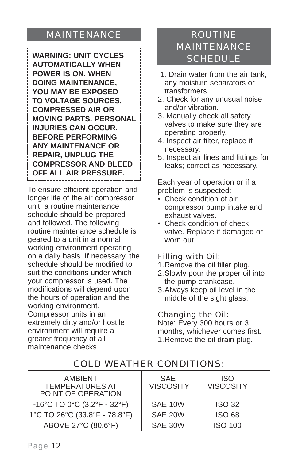# MAINTENANCE

**WARNING: UNIT CYCLES AUTOMATICALLY WHEN POWER IS ON. WHEN DOING MAINTENANCE, YOU MAY BE EXPOSED TO VOLTAGE SOURCES, COMPRESSED AIR OR MOVING PARTS. PERSONAL INJURIES CAN OCCUR. BEFORE PERFORMING ANY MAINTENANCE OR REPAIR, UNPLUG THE COMPRESSOR AND BLEED OFF ALL AIR PRESSURE.**

To ensure efficient operation and longer life of the air compressor unit, a routine maintenance schedule should be prepared and followed. The following routine maintenance schedule is geared to a unit in a normal working environment operating on a daily basis. If necessary, the schedule should be modified to suit the conditions under which your compressor is used. The modifications will depend upon the hours of operation and the working environment. Compressor units in an extremely dirty and/or hostile environment will require a greater frequency of all maintenance checks.

# ROUTINE MAINTENANCE SCHEDULE

- 1. Drain water from the air tank, any moisture separators or transformers.
- 2. Check for any unusual noise and/or vibration.
- 3. Manually check all safety valves to make sure they are operating properly.
- 4. Inspect air filter, replace if necessary.
- 5. Inspect air lines and fittings for leaks; correct as necessary.

Each year of operation or if a problem is suspected:

- Check condition of air compressor pump intake and exhaust valves.
- Check condition of check valve. Replace if damaged or worn out.

## Filling with Oil:

- 1.Remove the oil filler plug.
- 2.Slowly pour the proper oil into the pump crankcase.
- 3.Always keep oil level in the middle of the sight glass.

## Changing the Oil:

Note: Every 300 hours or 3 months, whichever comes first. 1.Remove the oil drain plug.

| AMBIENT<br><b>TEMPERATURES AT</b><br>POINT OF OPERATION | <b>SAE</b><br><b>VISCOSITY</b> | <b>ISO</b><br><b>VISCOSITY</b> |
|---------------------------------------------------------|--------------------------------|--------------------------------|
| -16°C TO 0°C (3.2°F - 32°F)                             | SAE 10W                        | <b>ISO 32</b>                  |
| 1°C TO 26°C (33.8°F - 78.8°F)                           | SAE 20W                        | <b>ISO 68</b>                  |
| ABOVE 27°C (80.6°F)                                     | SAE 30W                        | <b>ISO 100</b>                 |

## COLD WEATHER CONDITIONS: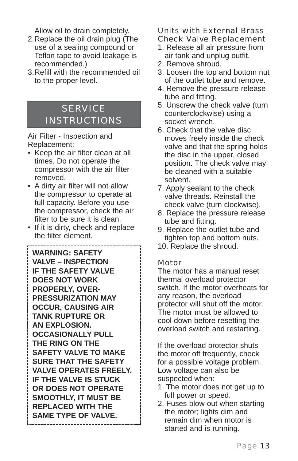Allow oil to drain completely.

- 2.Replace the oil drain plug (The use of a sealing compound or Teflon tape to avoid leakage is recommended.)
- 3.Refill with the recommended oil to the proper level.

# **SERVICE** INSTRUCTIONS

Air Filter - Inspection and Replacement:

- Keep the air filter clean at all times. Do not operate the compressor with the air filter removed.
- A dirty air filter will not allow the compressor to operate at full capacity. Before you use the compressor, check the air filter to be sure it is clean.
- If it is dirty, check and replace the filter element.

\_\_\_\_\_\_\_\_\_\_\_\_\_\_\_\_\_\_

**WARNING: SAFETY VALVE – INSPECTION IF THE SAFETY VALVE DOES NOT WORK PROPERLY, OVER-PRESSURIZATION MAY OCCUR, CAUSING AIR TANK RUPTURE OR AN EXPLOSION. OCCASIONALLY PULL THE RING ON THE SAFETY VALVE TO MAKE SURE THAT THE SAFETY VALVE OPERATES FREELY. IF THE VALVE IS STUCK OR DOES NOT OPERATE SMOOTHLY, IT MUST BE REPLACED WITH THE SAME TYPE OF VALVE.**  

## Units with External Brass Check Valve Replacement

- 1. Release all air pressure from air tank and unplug outfit.
- 2. Remove shroud.
- 3. Loosen the top and bottom nut of the outlet tube and remove.
- 4. Remove the pressure release tube and fitting.
- 5. Unscrew the check valve (turn counterclockwise) using a socket wrench.
- 6. Check that the valve disc moves freely inside the check valve and that the spring holds the disc in the upper, closed position. The check valve may be cleaned with a suitable solvent.
- 7. Apply sealant to the check valve threads. Reinstall the check valve (turn clockwise).
- 8. Replace the pressure release tube and fitting.
- 9. Replace the outlet tube and tighten top and bottom nuts.
- 10. Replace the shroud.

## Motor

The motor has a manual reset thermal overload protector switch. If the motor overheats for any reason, the overload protector will shut off the motor. The motor must be allowed to cool down before resetting the overload switch and restarting.

If the overload protector shuts the motor off frequently, check for a possible voltage problem. Low voltage can also be suspected when:

- 1. The motor does not get up to full power or speed.
- 2. Fuses blow out when starting the motor; lights dim and remain dim when motor is started and is running.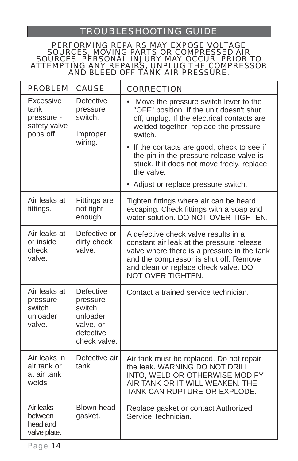# TROUBLESHOOTING GUIDE

#### PERFORMING REPAIRS MAY EXPOSE VOLTAGE SOURCES, MOVING PARTS OR COMPRESSED AIR SOURCES. PERSONAL INJURY MAY OCCUR. PRIOR TO ATTEMPTING ANY REPAIRS, UNPLUG THE COMPRESSOR AND BLEED OFF TANK AIR PRESSURE.

| <b>PROBLEM</b>                                               | <b>CAUSE</b>                                                                                 | <b>CORRECTION</b>                                                                                                                                                                                                                                                                                                                                                                                |
|--------------------------------------------------------------|----------------------------------------------------------------------------------------------|--------------------------------------------------------------------------------------------------------------------------------------------------------------------------------------------------------------------------------------------------------------------------------------------------------------------------------------------------------------------------------------------------|
| Excessive<br>tank<br>pressure -<br>safety valve<br>pops off. | Defective<br>pressure<br>switch.<br>Improper<br>wiring.                                      | Move the pressure switch lever to the<br>$\bullet$<br>"OFF" position. If the unit doesn't shut<br>off, unplug. If the electrical contacts are<br>welded together, replace the pressure<br>switch.<br>• If the contacts are good, check to see if<br>the pin in the pressure release valve is<br>stuck. If it does not move freely, replace<br>the valve.<br>• Adjust or replace pressure switch. |
|                                                              |                                                                                              |                                                                                                                                                                                                                                                                                                                                                                                                  |
| Air leaks at<br>fittings.                                    | <b>Fittings are</b><br>not tight<br>enough.                                                  | Tighten fittings where air can be heard<br>escaping. Check fittings with a soap and<br>water solution. DO NOT OVER TIGHTEN.                                                                                                                                                                                                                                                                      |
| Air leaks at<br>or inside<br>check<br>valve.                 | Defective or<br>dirty check<br>valve.                                                        | A defective check valve results in a<br>constant air leak at the pressure release<br>valve where there is a pressure in the tank<br>and the compressor is shut off. Remove<br>and clean or replace check valve. DO<br>NOT OVER TIGHTEN.                                                                                                                                                          |
| Air leaks at<br>pressure<br>switch<br>unloader<br>valve.     | <b>Defective</b><br>pressure<br>switch<br>unloader<br>valve, or<br>defective<br>check valve. | Contact a trained service technician.                                                                                                                                                                                                                                                                                                                                                            |
| Air leaks in<br>air tank or<br>at air tank<br>welds.         | Defective air<br>tank.                                                                       | Air tank must be replaced. Do not repair<br>the leak. WARNING DO NOT DRILL<br>INTO, WELD OR OTHERWISE MODIFY<br>AIR TANK OR IT WILL WEAKEN. THE<br>TANK CAN RUPTURE OR EXPLODE.                                                                                                                                                                                                                  |
| Air leaks<br>between<br>head and<br>valve plate.             | <b>Blown head</b><br>gasket.                                                                 | Replace gasket or contact Authorized<br>Service Technician.                                                                                                                                                                                                                                                                                                                                      |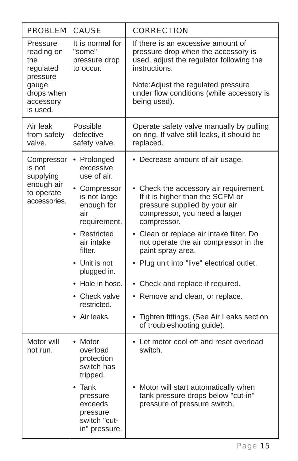| <b>PROBLEM</b>                                                                                         | <b>CAUSE</b>                                                                                                                                                                                             | <b>CORRECTION</b>                                                                                                                                                                                                                                                                                                                                                                          |
|--------------------------------------------------------------------------------------------------------|----------------------------------------------------------------------------------------------------------------------------------------------------------------------------------------------------------|--------------------------------------------------------------------------------------------------------------------------------------------------------------------------------------------------------------------------------------------------------------------------------------------------------------------------------------------------------------------------------------------|
| Pressure<br>reading on<br>the<br>regulated<br>pressure<br>gauge<br>drops when<br>accessory<br>is used. | It is normal for<br>"some"<br>pressure drop<br>to occur.                                                                                                                                                 | If there is an excessive amount of<br>pressure drop when the accessory is<br>used, adjust the regulator following the<br>instructions.<br>Note: Adjust the regulated pressure<br>under flow conditions (while accessory is<br>being used).                                                                                                                                                 |
| Air leak<br>from safety<br>valve.                                                                      | Possible<br>defective<br>safety valve.                                                                                                                                                                   | Operate safety valve manually by pulling<br>on ring. If valve still leaks, it should be<br>replaced.                                                                                                                                                                                                                                                                                       |
| Compressor<br>is not<br>supplying<br>enough air<br>to operate<br>accessories.                          | • Prolonged<br>excessive<br>use of air.<br>• Compressor<br>is not large<br>enough for<br>air<br>requirement.<br>• Restricted<br>air intake<br>filter.<br>• Unit is not<br>plugged in.<br>• Hole in hose. | • Decrease amount of air usage.<br>• Check the accessory air requirement.<br>If it is higher than the SCFM or<br>pressure supplied by your air<br>compressor, you need a larger<br>compressor.<br>• Clean or replace air intake filter. Do<br>not operate the air compressor in the<br>paint spray area.<br>• Plug unit into "live" electrical outlet.<br>• Check and replace if required. |
|                                                                                                        | • Check valve<br>restricted.<br>• Air leaks.                                                                                                                                                             | • Remove and clean, or replace.<br>• Tighten fittings. (See Air Leaks section<br>of troubleshooting guide).                                                                                                                                                                                                                                                                                |
| Motor will<br>not run.                                                                                 | $\bullet$ Motor<br>overload<br>protection<br>switch has<br>tripped.<br>Tank<br>pressure<br>exceeds<br>pressure<br>switch "cut-                                                                           | • Let motor cool off and reset overload<br>switch.<br>Motor will start automatically when<br>tank pressure drops below "cut-in"<br>pressure of pressure switch.                                                                                                                                                                                                                            |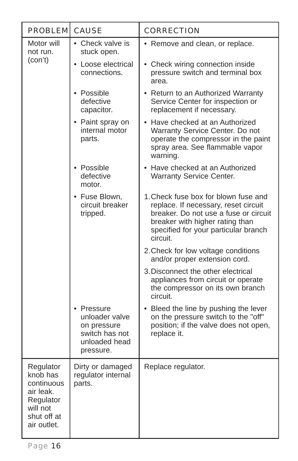| <b>PROBLEM CAUSE</b>                                                                                    |                                                                                             | <b>CORRECTION</b>                                                                                                                                                                                            |
|---------------------------------------------------------------------------------------------------------|---------------------------------------------------------------------------------------------|--------------------------------------------------------------------------------------------------------------------------------------------------------------------------------------------------------------|
| Motor will<br>not run.                                                                                  | • Check valve is<br>stuck open.                                                             | • Remove and clean, or replace.                                                                                                                                                                              |
| (con't)                                                                                                 | • Loose electrical<br>connections.                                                          | • Check wiring connection inside<br>pressure switch and terminal box<br>area.                                                                                                                                |
|                                                                                                         | • Possible<br>defective<br>capacitor.                                                       | • Return to an Authorized Warranty<br>Service Center for inspection or<br>replacement if necessary.                                                                                                          |
|                                                                                                         | • Paint spray on<br>internal motor<br>parts.                                                | • Have checked at an Authorized<br>Warranty Service Center. Do not<br>operate the compressor in the paint<br>spray area. See flammable vapor<br>warning.                                                     |
|                                                                                                         | • Possible<br>defective<br>motor.                                                           | • Have checked at an Authorized<br><b>Warranty Service Center.</b>                                                                                                                                           |
|                                                                                                         | • Fuse Blown,<br>circuit breaker<br>tripped.                                                | 1. Check fuse box for blown fuse and<br>replace. If necessary, reset circuit<br>breaker. Do not use a fuse or circuit<br>breaker with higher rating than<br>specified for your particular branch<br>circuit. |
|                                                                                                         |                                                                                             | 2. Check for low voltage conditions<br>and/or proper extension cord.                                                                                                                                         |
|                                                                                                         |                                                                                             | 3. Disconnect the other electrical<br>appliances from circuit or operate<br>the compressor on its own branch<br>circuit.                                                                                     |
|                                                                                                         | • Pressure<br>unloader valve<br>on pressure<br>switch has not<br>unloaded head<br>pressure. | • Bleed the line by pushing the lever<br>on the pressure switch to the "off"<br>position; if the valve does not open,<br>replace it.                                                                         |
| Regulator<br>knob has<br>continuous<br>air leak.<br>Regulator<br>will not<br>shut off at<br>air outlet. | Dirty or damaged<br>regulator internal<br>parts.                                            | Replace regulator.                                                                                                                                                                                           |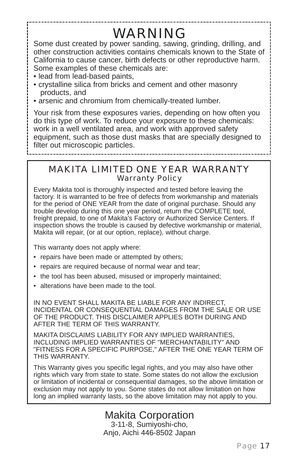# WARNING

Some dust created by power sanding, sawing, grinding, drilling, and other construction activities contains chemicals known to the State of California to cause cancer, birth defects or other reproductive harm. Some examples of these chemicals are:

- lead from lead-based paints,
- crystalline silica from bricks and cement and other masonry products, and
- arsenic and chromium from chemically-treated lumber.

Your risk from these exposures varies, depending on how often you do this type of work. To reduce your exposure to these chemicals: work in a well ventilated area, and work with approved safety equipment, such as those dust masks that are specially designed to filter out microscopic particles.

MAKITA LIMITED ONE YEAR WARRANTY Warranty Policy

Every Makita tool is thoroughly inspected and tested before leaving the factory. It is warranted to be free of defects from workmanship and materials for the period of ONE YEAR from the date of original purchase. Should any trouble develop during this one year period, return the COMPLETE tool, freight prepaid, to one of Makita's Factory or Authorized Service Centers. If inspection shows the trouble is caused by defective workmanship or material, Makita will repair, (or at our option, replace), without charge.

This warranty does not apply where:

- repairs have been made or attempted by others;
- repairs are required because of normal wear and tear;
- the tool has been abused, misused or improperly maintained;
- alterations have been made to the tool.

IN NO EVENT SHALL MAKITA BE LIABLE FOR ANY INDIRECT, INCIDENTAL OR CONSEQUENTIAL DAMAGES FROM THE SALE OR USE OF THE PRODUCT. THIS DISCLAIMER APPLIES BOTH DURING AND AFTER THE TERM OF THIS WARRANTY.

MAKITA DISCLAIMS LIABILITY FOR ANY IMPLIED WARRANTIES, INCLUDING IMPLIED WARRANTIES OF "MERCHANTABILITY" AND "FITNESS FOR A SPECIFIC PURPOSE," AFTER THE ONE YEAR TERM OF THIS WARRANTY.

This Warranty gives you specific legal rights, and you may also have other rights which vary from state to state. Some states do not allow the exclusion or limitation of incidental or consequential damages, so the above limitation or exclusion may not apply to you. Some states do not allow limitation on how long an implied warranty lasts, so the above limitation may not apply to you.

> Makita Corporation 3-11-8, Sumiyoshi-cho, Anjo, Aichi 446-8502 Japan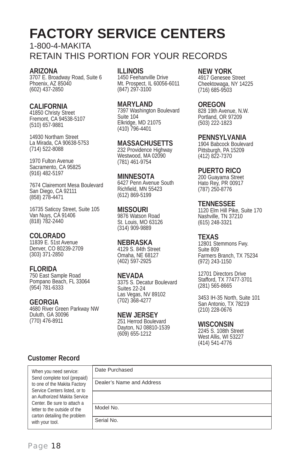# **FACTORY SERVICE CENTERS**

## 1-800-4-MAKITA RETAIN THIS PORTION FOR YOUR RECORDS

#### **ARIZONA**

3707 E. Broadway Road, Suite 6 Phoenix, AZ 85040 (602) 437-2850

### **CALIFORNIA**

41850 Christy Street Fremont, CA 94538-5107 (510) 657-9881

14930 Northam Street La Mirada, CA 90638-5753 (714) 522-8088

1970 Fulton Avenue Sacramento, CA 95825 (916) 482-5197

7674 Clairemont Mesa Boulevard San Diego, CA 92111 (858) 278-4471

16735 Saticoy Street, Suite 105 Van Nuys, CA 91406 (818) 782-2440

## **COLORADO**

11839 E. 51st Avenue Denver, CO 80239-2709 (303) 371-2850

## **FLORIDA**

750 East Sample Road Pompano Beach, FL 33064 (954) 781-6333

### **GEORGIA**

4680 River Green Parkway NW Duluth, GA 30096 (770) 476-8911

#### **ILLINOIS**

1450 Feehanville Drive Mt. Prospect, IL 60056-6011 (847) 297-3100

#### **MARYLAND**

7397 Washington Boulevard Suite 104 Elkridge, MD 21075 (410) 796-4401

#### **MASSACHUSETTS** 232 Providence Highway Westwood, MA 02090

(781) 461-9754

#### **MINNESOTA** 6427 Penn Avenue South Richfield, MN 55423 (612) 869-5199

**MISSOURI** 9876 Watson Road St. Louis, MO 63126 (314) 909-9889

#### **NEBRASKA**

4129 S. 84th Street Omaha, NE 68127 (402) 597-2925

### **NEVADA**

3375 S. Decatur Boulevard Suites 22-24 Las Vegas, NV 89102 (702) 368-4277

**NEW JERSEY** 251 Herrod Boulevard Dayton, NJ 08810-1539 (609) 655-1212

#### **NEW YORK**

4917 Genesee Street Cheektowaga, NY 14225 (716) 685-9503

#### **OREGON**

828 19th Avenue, N.W. Portland, OR 97209 (503) 222-1823

#### **PENNSYLVANIA**

1904 Babcock Boulevard Pittsburgh, PA 15209 (412) 822-7370

#### **PUERTO RICO**

200 Guayama Street Hato Rey, PR 00917 (787) 250-8776

#### **TENNESSEE**

1120 Elm Hill Pike, Suite 170 Nashville, TN 37210 (615) 248-3321

## **TEXAS**

12801 Stemmons Fwy. Suite 809 Farmers Branch, TX 75234 (972) 243-1150

12701 Directors Drive Stafford, TX 77477-3701 (281) 565-8665

3453 IH-35 North, Suite 101 San Antonio, TX 78219 (210) 228-0676

#### **WISCONSIN**

2245 S. 108th Street West Allis, WI 53227 (414) 541-4776

## **Customer Record**

| When you need service:<br>Send complete tool (prepaid)<br>to one of the Makita Factory<br>Service Centers listed, or to<br>an Authorized Makita Service<br>Center. Be sure to attach a<br>letter to the outside of the<br>carton detailing the problem<br>with your tool. | Date Purchased            |
|---------------------------------------------------------------------------------------------------------------------------------------------------------------------------------------------------------------------------------------------------------------------------|---------------------------|
|                                                                                                                                                                                                                                                                           | Dealer's Name and Address |
|                                                                                                                                                                                                                                                                           |                           |
|                                                                                                                                                                                                                                                                           | Model No.                 |
|                                                                                                                                                                                                                                                                           | Serial No.                |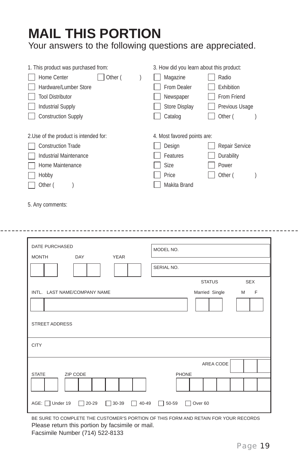# **MAIL THIS PORTION**

Your answers to the following questions are appreciated.

| 1. This product was purchased from:    |  | 3. How did you learn about this product: |                   |  |
|----------------------------------------|--|------------------------------------------|-------------------|--|
| Other (<br>Home Center                 |  | Magazine                                 | Radio             |  |
| Hardware/Lumber Store                  |  | From Dealer                              | <b>Exhibition</b> |  |
| <b>Tool Distributor</b>                |  | Newspaper                                | From Friend       |  |
| <b>Industrial Supply</b>               |  | <b>Store Display</b>                     | Previous Usage    |  |
| <b>Construction Supply</b>             |  | Catalog                                  | Other (           |  |
|                                        |  |                                          |                   |  |
| 2. Use of the product is intended for: |  | 4. Most favored points are:              |                   |  |
| <b>Construction Trade</b>              |  | Design                                   | Repair Service    |  |
| Industrial Maintenance                 |  | Features                                 | Durability        |  |
| Home Maintenance                       |  | Size                                     | Power             |  |
| Hobby                                  |  | Price                                    | Other (           |  |
| Other (                                |  | Makita Brand                             |                   |  |
|                                        |  |                                          |                   |  |

5. Any comments:

| <b>DATE PURCHASED</b><br><b>YEAR</b><br>DAY<br><b>MONTH</b>                  | MODEL NO.<br>SERIAL NO.          |
|------------------------------------------------------------------------------|----------------------------------|
|                                                                              | <b>SEX</b><br><b>STATUS</b>      |
| INTL. LAST NAME/COMPANY NAME<br><b>STREET ADDRESS</b>                        | Married Single<br>M<br>$-F$      |
| <b>CITY</b>                                                                  |                                  |
| ZIP CODE<br><b>STATE</b>                                                     | AREA CODE<br><b>PHONE</b>        |
| AGE: Under 19<br>20-29<br>$30 - 39$<br>40-49<br>$\mathbf{L}$<br>$\mathbf{I}$ | 50-59<br>Over 60<br>$\mathbf{1}$ |

BE SURE TO COMPLETE THE CUSTOMER'S PORTION OF THIS FORM AND RETAIN FOR YOUR RECORDS Please return this portion by facsimile or mail.

Facsimile Number (714) 522-8133